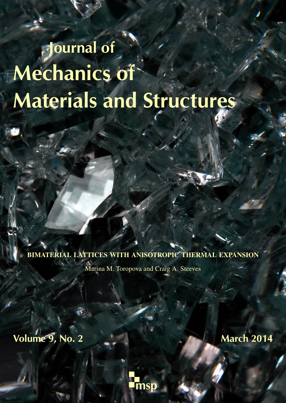# Journal of Mechanics of Materials and Structures

BIMATERIAL LATTICES WITH ANISOTROPIC THERMAL EXPANSION

Marina M. Toropova and Craig A. Steeves

Volume 9, No. 2 1 March 2014

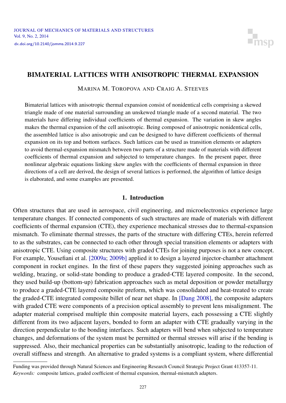

#### <span id="page-1-0"></span>BIMATERIAL LATTICES WITH ANISOTROPIC THERMAL EXPANSION

MARINA M. TOROPOVA AND CRAIG A. STEEVES

Bimaterial lattices with anisotropic thermal expansion consist of nonidentical cells comprising a skewed triangle made of one material surrounding an unskewed triangle made of a second material. The two materials have differing individual coefficients of thermal expansion. The variation in skew angles makes the thermal expansion of the cell anisotropic. Being composed of anisotropic nonidentical cells, the assembled lattice is also anisotropic and can be designed to have different coefficients of thermal expansion on its top and bottom surfaces. Such lattices can be used as transition elements or adapters to avoid thermal-expansion mismatch between two parts of a structure made of materials with different coefficients of thermal expansion and subjected to temperature changes. In the present paper, three nonlinear algebraic equations linking skew angles with the coefficients of thermal expansion in three directions of a cell are derived, the design of several lattices is performed, the algorithm of lattice design is elaborated, and some examples are presented.

#### 1. Introduction

Often structures that are used in aerospace, civil engineering, and microelectronics experience large temperature changes. If connected components of such structures are made of materials with different coefficients of thermal expansion (CTE), they experience mechanical stresses due to thermal-expansion mismatch. To eliminate thermal stresses, the parts of the structure with differing CTEs, herein referred to as the substrates, can be connected to each other through special transition elements or adapters with anisotropic CTE. Using composite structures with graded CTEs for joining purposes is not a new concept. For example, Yousefiani et al. [\[2009a;](#page-18-0) [2009b\]](#page-18-1) applied it to design a layered injector-chamber attachment component in rocket engines. In the first of these papers they suggested joining approaches such as welding, brazing, or solid-state bonding to produce a graded-CTE layered composite. In the second, they used build-up (bottom-up) fabrication approaches such as metal deposition or powder metallurgy to produce a graded-CTE layered composite preform, which was consolidated and heat-treated to create the graded-CTE integrated composite billet of near net shape. In [\[Dang 2008\]](#page-17-0), the composite adapters with graded CTE were components of a precision optical assembly to prevent lens misalignment. The adapter material comprised multiple thin composite material layers, each possessing a CTE slightly different from its two adjacent layers, bonded to form an adapter with CTE gradually varying in the direction perpendicular to the bonding interfaces. Such adapters will bend when subjected to temperature changes, and deformations of the system must be permitted or thermal stresses will arise if the bending is suppressed. Also, their mechanical properties can be substantially anisotropic, leading to the reduction of overall stiffness and strength. An alternative to graded systems is a compliant system, where differential

Funding was provided through Natural Sciences and Engineering Research Council Strategic Project Grant 413357-11. *Keywords:* composite lattices, graded coefficient of thermal expansion, thermal-mismatch adapters.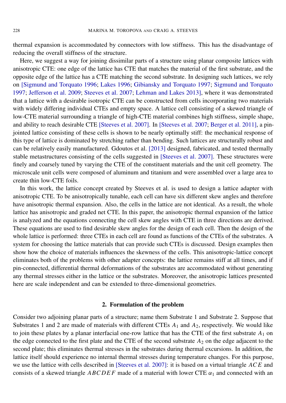thermal expansion is accommodated by connectors with low stiffness. This has the disadvantage of reducing the overall stiffness of the structure.

Here, we suggest a way for joining dissimilar parts of a structure using planar composite lattices with anisotropic CTE: one edge of the lattice has CTE that matches the material of the first substrate, and the opposite edge of the lattice has a CTE matching the second substrate. In designing such lattices, we rely on [\[Sigmund and Torquato 1996;](#page-18-2) [Lakes 1996;](#page-17-1) [Gibiansky and Torquato 1997;](#page-17-2) [Sigmund and Torquato](#page-18-3) [1997;](#page-18-3) [Jefferson et al. 2009;](#page-17-3) [Steeves et al. 2007;](#page-18-4) [Lehman and Lakes 2013\]](#page-17-4), where it was demonstrated that a lattice with a desirable isotropic CTE can be constructed from cells incorporating two materials with widely differing individual CTEs and empty space. A lattice cell consisting of a skewed triangle of low-CTE material surrounding a triangle of high-CTE material combines high stiffness, simple shape, and ability to reach desirable CTE [\[Steeves et al. 2007\]](#page-18-4). In [\[Steeves et al. 2007;](#page-18-4) [Berger et al. 2011\]](#page-17-5), a pinjointed lattice consisting of these cells is shown to be nearly optimally stiff: the mechanical response of this type of lattice is dominated by stretching rather than bending. Such lattices are structurally robust and can be relatively easily manufactured. [Gdoutos et al.](#page-17-6) [2013] designed, fabricated, and tested thermally stable metastructures consisting of the cells suggested in [\[Steeves et al. 2007\]](#page-18-4). These structures were finely and coarsely tuned by varying the CTE of the constituent materials and the unit cell geometry. The microscale unit cells were composed of aluminum and titanium and were assembled over a large area to create thin low-CTE foils.

In this work, the lattice concept created by Steeves et al. is used to design a lattice adapter with anisotropic CTE. To be anisotropically tunable, each cell can have six different skew angles and therefore have anisotropic thermal expansion. Also, the cells in the lattice are not identical. As a result, the whole lattice has anisotropic and graded net CTE. In this paper, the anisotropic thermal expansion of the lattice is analyzed and the equations connecting the cell skew angles with CTE in three directions are derived. These equations are used to find desirable skew angles for the design of each cell. Then the design of the whole lattice is performed: three CTEs in each cell are found as functions of the CTEs of the substrates. A system for choosing the lattice materials that can provide such CTEs is discussed. Design examples then show how the choice of materials influences the skewness of the cells. This anisotropic-lattice concept eliminates both of the problems with other adapter concepts: the lattice remains stiff at all times, and if pin-connected, differential thermal deformations of the substrates are accommodated without generating any thermal stresses either in the lattice or the substrates. Moreover, the anisotropic lattices presented here are scale independent and can be extended to three-dimensional geometries.

#### 2. Formulation of the problem

Consider two adjoining planar parts of a structure; name them Substrate 1 and Substrate 2. Suppose that Substrates 1 and 2 are made of materials with different CTEs *A*<sup>1</sup> and *A*2, respectively. We would like to join these plates by a planar interfacial one-row lattice that has the CTE of the first substrate *A*<sup>1</sup> on the edge connected to the first plate and the CTE of the second substrate  $A_2$  on the edge adjacent to the second plate; this eliminates thermal stresses in the substrates during thermal excursions. In addition, the lattice itself should experience no internal thermal stresses during temperature changes. For this purpose, we use the lattice with cells described in [\[Steeves et al. 2007\]](#page-18-4): it is based on a virtual triangle *AC E* and consists of a skewed triangle  $ABCDEF$  made of a material with lower CTE  $\alpha_1$  and connected with an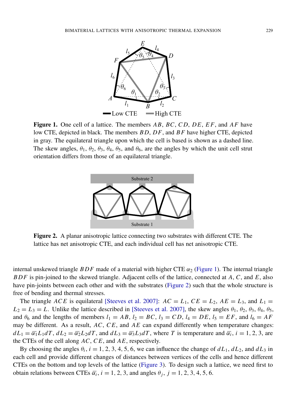

<span id="page-3-1"></span><span id="page-3-0"></span>Figure 1. One cell of a lattice. The members *AB*, *BC*, *C D*, *DE*, *E F*, and *AF* have low CTE, depicted in black. The members *B D*, *DF*, and *B F* have higher CTE, depicted in gray. The equilateral triangle upon which the cell is based is shown as a dashed line. The skew angles,  $\theta_1$ ,  $\theta_2$ ,  $\theta_3$ ,  $\theta_4$ ,  $\theta_5$ , and  $\theta_6$ , are the angles by which the unit cell strut orientation differs from those of an equilateral triangle.



Figure 2. A planar anisotropic lattice connecting two substrates with different CTE. The lattice has net anisotropic CTE, and each individual cell has net anisotropic CTE.

internal unskewed triangle *BDF* made of a material with higher CTE  $\alpha_2$  [\(Figure 1\)](#page-3-0). The internal triangle *B DF* is pin-joined to the skewed triangle. Adjacent cells of the lattice, connected at *A*, *C*, and *E*, also have pin-joints between each other and with the substrates [\(Figure 2\)](#page-3-1) such that the whole structure is free of bending and thermal stresses.

The triangle *ACE* is equilateral [\[Steeves et al. 2007\]](#page-18-4):  $AC = L_1$ ,  $CE = L_2$ ,  $AE = L_3$ , and  $L_1 =$  $L_2 = L_3 = L$ . Unlike the lattice described in [\[Steeves et al. 2007\]](#page-18-4), the skew angles  $\theta_1$ ,  $\theta_2$ ,  $\theta_3$ ,  $\theta_4$ ,  $\theta_5$ , and  $\theta_6$  and the lengths of members  $l_1 = AB$ ,  $l_2 = BC$ ,  $l_3 = CD$ ,  $l_4 = DE$ ,  $l_5 = EF$ , and  $l_6 = AF$ may be different. As a result, *AC*, *C E*, and *AE* can expand differently when temperature changes:  $dL_1 = \overline{\alpha_1}L_1 dT$ ,  $dL_2 = \overline{\alpha_2}L_2 dT$ , and  $dL_3 = \overline{\alpha_3}L_3 dT$ , where *T* is temperature and  $\overline{\alpha_i}$ ,  $i = 1, 2, 3$ , are the CTEs of the cell along *AC*, *C E*, and *AE*, respectively.

By choosing the angles  $\theta_i$ ,  $i = 1, 2, 3, 4, 5, 6$ , we can influence the change of  $dL_1$ ,  $dL_2$ , and  $dL_3$  in each cell and provide different changes of distances between vertices of the cells and hence different CTEs on the bottom and top levels of the lattice [\(Figure 3\)](#page-4-0). To design such a lattice, we need first to obtain relations between CTEs  $\overline{\alpha_i}$ ,  $i = 1, 2, 3$ , and angles  $\theta_j$ ,  $j = 1, 2, 3, 4, 5, 6$ .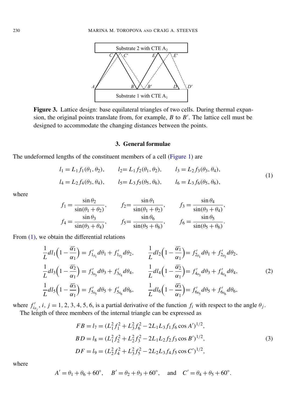

<span id="page-4-0"></span>Figure 3. Lattice design: base equilateral triangles of two cells. During thermal expansion, the original points translate from, for example,  $B$  to  $B'$ . The lattice cell must be designed to accommodate the changing distances between the points.

#### <span id="page-4-1"></span>3. General formulae

The undeformed lengths of the constituent members of a cell [\(Figure 1\)](#page-3-0) are

$$
l_1 = L_1 f_1(\theta_1, \theta_2), \qquad l_2 = L_1 f_2(\theta_1, \theta_2), \qquad l_3 = L_2 f_3(\theta_3, \theta_4),
$$
  
\n
$$
l_4 = L_2 f_4(\theta_3, \theta_4), \qquad l_5 = L_3 f_5(\theta_5, \theta_6), \qquad l_6 = L_3 f_6(\theta_5, \theta_6),
$$
  
\n(1)

where

<span id="page-4-3"></span>
$$
f_1 = \frac{\sin \theta_2}{\sin(\theta_1 + \theta_2)}, \qquad f_2 = \frac{\sin \theta_1}{\sin(\theta_1 + \theta_2)}, \qquad f_3 = \frac{\sin \theta_4}{\sin(\theta_3 + \theta_4)},
$$
  

$$
f_4 = \frac{\sin \theta_3}{\sin(\theta_3 + \theta_4)}, \qquad f_5 = \frac{\sin \theta_6}{\sin(\theta_5 + \theta_6)}, \qquad f_6 = \frac{\sin \theta_5}{\sin(\theta_5 + \theta_6)}.
$$

From [\(1\),](#page-4-1) we obtain the differential relations

$$
\frac{1}{L}dl_1\left(1-\frac{\overline{\alpha_1}}{\alpha_1}\right) = f'_{1_{\theta_1}}d\theta_1 + f'_{1_{\theta_2}}d\theta_2, \qquad \frac{1}{L}dl_2\left(1-\frac{\overline{\alpha_1}}{\alpha_1}\right) = f'_{2_{\theta_1}}d\theta_1 + f'_{2_{\theta_2}}d\theta_2, \n\frac{1}{L}dl_3\left(1-\frac{\overline{\alpha_2}}{\alpha_1}\right) = f'_{3_{\theta_3}}d\theta_3 + f'_{3_{\theta_4}}d\theta_4, \qquad \frac{1}{L}dl_4\left(1-\frac{\overline{\alpha_2}}{\alpha_1}\right) = f'_{4_{\theta_3}}d\theta_3 + f'_{4_{\theta_4}}d\theta_4, \qquad (2) \n\frac{1}{L}dl_5\left(1-\frac{\overline{\alpha_3}}{\alpha_1}\right) = f'_{5_{\theta_5}}d\theta_5 + f'_{5_{\theta_6}}d\theta_6, \qquad \frac{1}{L}dl_6\left(1-\frac{\overline{\alpha_3}}{\alpha_1}\right) = f'_{6_{\theta_5}}d\theta_5 + f'_{6_{\theta_6}}d\theta_6,
$$

where  $f'_{i}$  $f'_{i\theta_j}$ , *i*, *j* = 1, 2, 3, 4, 5, 6, is a partial derivative of the function  $f_i$  with respect to the angle  $\theta_j$ . The length of three members of the internal triangle can be expressed as

<span id="page-4-2"></span>
$$
FB = l_7 = (L_1^2 f_1^2 + L_3^2 f_6^2 - 2L_1 L_3 f_1 f_6 \cos A')^{1/2},
$$
  
\n
$$
BD = l_8 = (L_1^2 f_2^2 + L_2^2 f_3^2 - 2L_1 L_2 f_2 f_3 \cos B')^{1/2},
$$
  
\n
$$
DF = l_9 = (L_2^2 f_4^2 + L_3^2 f_5^2 - 2L_2 L_3 f_4 f_5 \cos C')^{1/2},
$$
\n(3)

where

$$
A' = \theta_1 + \theta_6 + 60^\circ
$$
,  $B' = \theta_2 + \theta_3 + 60^\circ$ , and  $C' = \theta_4 + \theta_5 + 60^\circ$ .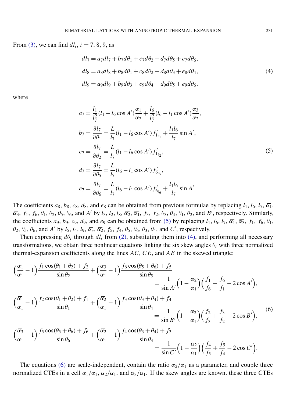From [\(3\),](#page-4-2) we can find  $dl_i$ ,  $i = 7, 8, 9$ , as

<span id="page-5-1"></span>
$$
dl_7 = a_7dl_7 + b_7d\theta_1 + c_7d\theta_2 + d_7d\theta_5 + e_7d\theta_6,
$$
  
\n
$$
dl_8 = a_8dl_8 + b_8d\theta_1 + c_8d\theta_2 + d_8d\theta_3 + e_8d\theta_4,
$$
  
\n
$$
dl_9 = a_9dl_9 + b_9d\theta_3 + c_9d\theta_4 + d_9d\theta_5 + e_9d\theta_6,
$$
\n(4)

<span id="page-5-0"></span>where

<span id="page-5-2"></span>
$$
a_7 = \frac{l_1}{l_7^2} (l_1 - l_6 \cos A') \frac{\overline{\alpha_1}}{\alpha_2} + \frac{l_6}{l_7^2} (l_6 - l_1 \cos A') \frac{\overline{\alpha_3}}{\alpha_2},
$$
  
\n
$$
b_7 = \frac{\partial l_7}{\partial \theta_1} = \frac{L}{l_7} (l_1 - l_6 \cos A') f'_{l_{\theta_1}} + \frac{l_1 l_6}{l_7} \sin A',
$$
  
\n
$$
c_7 = \frac{\partial l_7}{\partial \theta_2} = \frac{L}{l_7} (l_1 - l_6 \cos A') f'_{l_{\theta_2}},
$$
  
\n
$$
d_7 = \frac{\partial l_7}{\partial \theta_5} = \frac{L}{l_7} (l_6 - l_1 \cos A') f'_{6\theta_5},
$$
  
\n
$$
e_7 = \frac{\partial l_7}{\partial \theta_6} = \frac{L}{l_7} (l_6 - l_1 \cos A') f'_{6\theta_6} + \frac{l_1 l_6}{l_7} \sin A'.
$$
  
\n(5)

The coefficients  $a_8$ ,  $b_8$ ,  $c_8$ ,  $d_8$ , and  $e_8$  can be obtained from previous formulae by replacing  $l_1$ ,  $l_6$ ,  $l_7$ ,  $\overline{\alpha_1}$ ,  $\overline{\alpha_3}$ ,  $f_1$ ,  $f_6$ ,  $\theta_1$ ,  $\theta_2$ ,  $\theta_5$ ,  $\theta_6$ , and *A'* by  $l_3$ ,  $l_2$ ,  $l_8$ ,  $\overline{\alpha_2}$ ,  $\overline{\alpha_1}$ ,  $f_3$ ,  $f_2$ ,  $\theta_3$ ,  $\theta_4$ ,  $\theta_1$ ,  $\theta_2$ , and *B'*, respectively. Similarly, the coefficients *a*<sub>9</sub>, *b*<sub>9</sub>, *c*<sub>9</sub>, *d*<sub>9</sub>, and *e*<sub>9</sub> can be obtained from [\(5\)](#page-5-0) by replacing *l*<sub>1</sub>, *l*<sub>6</sub>, *l*<sub>7</sub>,  $\overline{\alpha_3}$ , *f*<sub>1</sub>, *f*<sub>6</sub>,  $\theta_1$ ,  $\theta_2$ ,  $\theta_5$ ,  $\theta_6$ , and *A'* by  $l_5$ ,  $l_4$ ,  $l_9$ ,  $\overline{\alpha_3}$ ,  $\overline{\alpha_2}$ ,  $f_5$ ,  $f_4$ ,  $\theta_5$ ,  $\theta_6$ ,  $\theta_3$ ,  $\theta_4$ , and *C'*, respectively.

Then expressing  $d\theta_i$  through  $dl_i$  from [\(2\),](#page-4-3) substituting them into [\(4\),](#page-5-1) and performing all necessary transformations, we obtain three nonlinear equations linking the six skew angles θ*<sup>i</sup>* with three normalized thermal-expansion coefficients along the lines *AC*, *C E*, and *AE* in the skewed triangle:

$$
\left(\frac{\overline{\alpha_1}}{\alpha_1} - 1\right) \frac{f_1 \cos(\theta_1 + \theta_2) + f_2}{\sin \theta_2} + \left(\frac{\overline{\alpha_3}}{\alpha_1} - 1\right) \frac{f_6 \cos(\theta_5 + \theta_6) + f_5}{\sin \theta_5} = \frac{1}{\sin A'} \left(1 - \frac{\alpha_2}{\alpha_1}\right) \left(\frac{f_1}{f_6} + \frac{f_6}{f_1} - 2 \cos A'\right),
$$
\n
$$
\left(\frac{\overline{\alpha_1}}{\alpha_1} - 1\right) \frac{f_2 \cos(\theta_1 + \theta_2) + f_1}{\sin \theta_1} + \left(\frac{\overline{\alpha_2}}{\alpha_1} - 1\right) \frac{f_3 \cos(\theta_3 + \theta_4) + f_4}{\sin \theta_4} = \frac{1}{\sin B'} \left(1 - \frac{\alpha_2}{\alpha_1}\right) \left(\frac{f_2}{f_3} + \frac{f_3}{f_2} - 2 \cos B'\right),
$$
\n
$$
\left(\frac{\overline{\alpha_3}}{\alpha_1} - 1\right) \frac{f_5 \cos(\theta_5 + \theta_6) + f_6}{\sin \theta_6} + \left(\frac{\overline{\alpha_2}}{\alpha_1} - 1\right) \frac{f_4 \cos(\theta_3 + \theta_4) + f_3}{\sin \theta_3} = \frac{1}{\sin C'} \left(1 - \frac{\alpha_2}{\alpha_1}\right) \left(\frac{f_4}{f_5} + \frac{f_5}{f_4} - 2 \cos C'\right).
$$
\n(6)

The equations [\(6\)](#page-5-2) are scale-independent, contain the ratio  $\alpha_2/\alpha_1$  as a parameter, and couple three normalized CTEs in a cell  $\overline{\alpha_1}/\alpha_1$ ,  $\overline{\alpha_2}/\alpha_1$ , and  $\overline{\alpha_3}/\alpha_1$ . If the skew angles are known, these three CTEs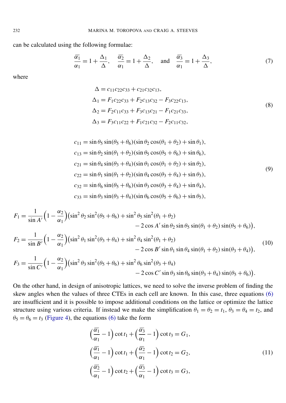can be calculated using the following formulae:

$$
\frac{\overline{\alpha_1}}{\alpha_1} = 1 + \frac{\Delta_1}{\Delta}, \quad \frac{\overline{\alpha_2}}{\alpha_1} = 1 + \frac{\Delta_2}{\Delta}, \quad \text{and} \quad \frac{\overline{\alpha_3}}{\alpha_1} = 1 + \frac{\Delta_3}{\Delta}, \tag{7}
$$

where

$$
\Delta = c_{11}c_{22}c_{33} + c_{21}c_{32}c_{13},
$$
  
\n
$$
\Delta_1 = F_1c_{22}c_{33} + F_2c_{13}c_{32} - F_3c_{22}c_{13},
$$
  
\n
$$
\Delta_2 = F_2c_{11}c_{33} + F_3c_{13}c_{21} - F_1c_{21}c_{33},
$$
  
\n
$$
\Delta_3 = F_3c_{11}c_{22} + F_1c_{21}c_{32} - F_2c_{11}c_{32},
$$
\n(8)

$$
c_{11} = \sin \theta_5 \sin(\theta_5 + \theta_6)(\sin \theta_2 \cos(\theta_1 + \theta_2) + \sin \theta_1),
$$
  
\n
$$
c_{13} = \sin \theta_2 \sin(\theta_1 + \theta_2)(\sin \theta_5 \cos(\theta_5 + \theta_6) + \sin \theta_6),
$$
  
\n
$$
c_{21} = \sin \theta_4 \sin(\theta_3 + \theta_4)(\sin \theta_1 \cos(\theta_1 + \theta_2) + \sin \theta_2),
$$
  
\n
$$
c_{22} = \sin \theta_1 \sin(\theta_1 + \theta_2)(\sin \theta_4 \cos(\theta_3 + \theta_4) + \sin \theta_3),
$$
  
\n
$$
c_{32} = \sin \theta_6 \sin(\theta_5 + \theta_6)(\sin \theta_3 \cos(\theta_3 + \theta_4) + \sin \theta_4),
$$
  
\n
$$
c_{33} = \sin \theta_3 \sin(\theta_3 + \theta_4)(\sin \theta_6 \cos(\theta_5 + \theta_6) + \sin \theta_5),
$$
  
\n(9)

$$
F_1 = \frac{1}{\sin A'} \Big( 1 - \frac{\alpha_2}{\alpha_1} \Big) \big( \sin^2 \theta_2 \sin^2 (\theta_5 + \theta_6) + \sin^2 \theta_5 \sin^2 (\theta_1 + \theta_2) - 2 \cos A' \sin \theta_2 \sin \theta_5 \sin (\theta_1 + \theta_2) \sin (\theta_5 + \theta_6) \big),
$$

$$
F_2 = \frac{1}{\sin B'} \left( 1 - \frac{\alpha_2}{\alpha_1} \right) \left( \sin^2 \theta_1 \sin^2 (\theta_3 + \theta_4) + \sin^2 \theta_4 \sin^2 (\theta_1 + \theta_2) - 2 \cos B' \sin \theta_1 \sin \theta_4 \sin (\theta_1 + \theta_2) \sin (\theta_3 + \theta_4) \right), \tag{10}
$$

$$
F_3 = \frac{1}{\sin C'} \left( 1 - \frac{\alpha_2}{\alpha_1} \right) \left( \sin^2 \theta_3 \sin^2 (\theta_5 + \theta_6) + \sin^2 \theta_6 \sin^2 (\theta_3 + \theta_4) - 2 \cos C' \sin \theta_3 \sin \theta_6 \sin (\theta_3 + \theta_4) \sin (\theta_5 + \theta_6) \right).
$$

On the other hand, in design of anisotropic lattices, we need to solve the inverse problem of finding the skew angles when the values of three CTEs in each cell are known. In this case, three equations [\(6\)](#page-5-2) are insufficient and it is possible to impose additional conditions on the lattice or optimize the lattice structure using various criteria. If instead we make the simplification  $\theta_1 = \theta_2 = t_1$ ,  $\theta_3 = \theta_4 = t_2$ , and  $\theta_5 = \theta_6 = t_3$  [\(Figure 4\)](#page-7-0), the equations [\(6\)](#page-5-2) take the form

<span id="page-6-0"></span>
$$
\left(\frac{\overline{\alpha_1}}{\alpha_1} - 1\right) \cot t_1 + \left(\frac{\overline{\alpha_3}}{\alpha_1} - 1\right) \cot t_3 = G_1,
$$
\n
$$
\left(\frac{\overline{\alpha_1}}{\alpha_1} - 1\right) \cot t_1 + \left(\frac{\overline{\alpha_2}}{\alpha_1} - 1\right) \cot t_2 = G_2,
$$
\n
$$
\left(\frac{\overline{\alpha_2}}{\alpha_1} - 1\right) \cot t_2 + \left(\frac{\overline{\alpha_3}}{\alpha_1} - 1\right) \cot t_3 = G_3,
$$
\n(11)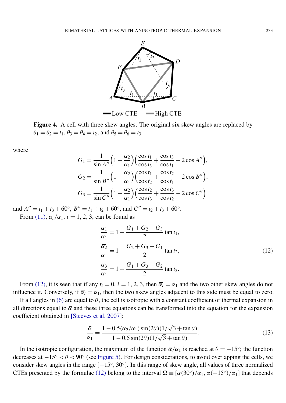

<span id="page-7-0"></span>Figure 4. A cell with three skew angles. The original six skew angles are replaced by  $\theta_1 = \theta_2 = t_1, \theta_3 = \theta_4 = t_2, \text{ and } \theta_5 = \theta_6 = t_3.$ 

where

$$
G_1 = \frac{1}{\sin A''} \Big( 1 - \frac{\alpha_2}{\alpha_1} \Big) \Big( \frac{\cos t_1}{\cos t_3} + \frac{\cos t_3}{\cos t_1} - 2 \cos A'' \Big),
$$
  
\n
$$
G_2 = \frac{1}{\sin B''} \Big( 1 - \frac{\alpha_2}{\alpha_1} \Big) \Big( \frac{\cos t_1}{\cos t_2} + \frac{\cos t_2}{\cos t_1} - 2 \cos B'' \Big),
$$
  
\n
$$
G_3 = \frac{1}{\sin C''} \Big( 1 - \frac{\alpha_2}{\alpha_1} \Big) \Big( \frac{\cos t_2}{\cos t_3} + \frac{\cos t_3}{\cos t_2} - 2 \cos C'' \Big)
$$

and  $A'' = t_1 + t_3 + 60^\circ$ ,  $B'' = t_1 + t_2 + 60^\circ$ , and  $C'' = t_2 + t_3 + 60^\circ$ .

From [\(11\),](#page-6-0)  $\overline{\alpha_i}/\alpha_1$ ,  $i = 1, 2, 3$ , can be found as

<span id="page-7-1"></span>
$$
\frac{\overline{\alpha_1}}{\alpha_1} = 1 + \frac{G_1 + G_2 - G_3}{2} \tan t_1,\n\frac{\overline{\alpha_2}}{\alpha_1} = 1 + \frac{G_2 + G_3 - G_1}{2} \tan t_2,\n\frac{\overline{\alpha_3}}{\alpha_1} = 1 + \frac{G_1 + G_3 - G_2}{2} \tan t_3.
$$
\n(12)

From [\(12\),](#page-7-1) it is seen that if any  $t_i = 0$ ,  $i = 1, 2, 3$ , then  $\overline{\alpha_i} = \alpha_1$  and the two other skew angles do not influence it. Conversely, if  $\overline{\alpha_i} = \alpha_1$ , then the two skew angles adjacent to this side must be equal to zero.

If all angles in [\(6\)](#page-5-2) are equal to  $\theta$ , the cell is isotropic with a constant coefficient of thermal expansion in all directions equal to  $\bar{\alpha}$  and these three equations can be transformed into the equation for the expansion coefficient obtained in [\[Steeves et al. 2007\]](#page-18-4):

<span id="page-7-2"></span>
$$
\frac{\overline{\alpha}}{\alpha_1} = \frac{1 - 0.5(\alpha_2/\alpha_1)\sin(2\theta)(1/\sqrt{3} + \tan\theta)}{1 - 0.5\sin(2\theta)(1/\sqrt{3} + \tan\theta)}.
$$
\n(13)

In the isotropic configuration, the maximum of the function  $\bar{\alpha}/\alpha_1$  is reached at  $\theta = -15^\circ$ ; the function decreases at  $-15° < \theta < 90°$  (see [Figure 5\)](#page-8-0). For design considerations, to avoid overlapping the cells, we consider skew angles in the range  $[-15^\circ, 30^\circ]$ . In this range of skew angle, all values of three normalized CTEs presented by the formulae [\(12\)](#page-7-1) belong to the interval  $\Omega = [\bar{\alpha}(30^\circ)/\alpha_1, \bar{\alpha}(-15^\circ)/\alpha_1]$  that depends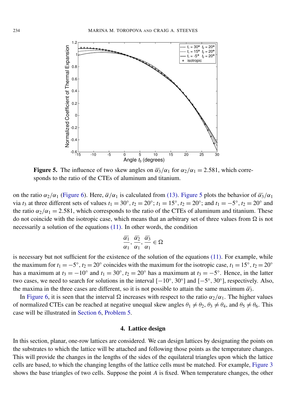<span id="page-8-0"></span>

**Figure 5.** The influence of two skew angles on  $\overline{\alpha_3}/\alpha_1$  for  $\alpha_2/\alpha_1 = 2.581$ , which corresponds to the ratio of the CTEs of aluminum and titanium.

on the ratio  $\alpha_2/\alpha_1$  [\(Figure 6\)](#page-9-0). Here,  $\overline{\alpha}/\alpha_1$  is calculated from [\(13\).](#page-7-2) [Figure 5](#page-8-0) plots the behavior of  $\overline{\alpha_3}/\alpha_1$ via *t*<sub>3</sub> at three different sets of values  $t_1 = 30^\circ$ ,  $t_2 = 20^\circ$ ;  $t_1 = 15^\circ$ ,  $t_2 = 20^\circ$ ; and  $t_1 = -5^\circ$ ,  $t_2 = 20^\circ$  and the ratio  $\alpha_2/\alpha_1 = 2.581$ , which corresponds to the ratio of the CTEs of aluminum and titanium. These do not coincide with the isotropic case, which means that an arbitrary set of three values from  $\Omega$  is not necessarily a solution of the equations [\(11\).](#page-6-0) In other words, the condition

$$
\frac{\overline{\alpha_1}}{\alpha_1}, \frac{\overline{\alpha_2}}{\alpha_1}, \frac{\overline{\alpha_3}}{\alpha_1} \in \Omega
$$

is necessary but not sufficient for the existence of the solution of the equations [\(11\).](#page-6-0) For example, while the maximum for  $t_1 = -5^\circ$ ,  $t_2 = 20^\circ$  coincides with the maximum for the isotropic case,  $t_1 = 15^\circ$ ,  $t_2 = 20^\circ$ has a maximum at  $t_3 = -10^\circ$  and  $t_1 = 30^\circ$ ,  $t_2 = 20^\circ$  has a maximum at  $t_3 = -5^\circ$ . Hence, in the latter two cases, we need to search for solutions in the interval  $[-10^{\circ}, 30^{\circ}]$  and  $[-5^{\circ}, 30^{\circ}]$ , respectively. Also, the maxima in the three cases are different, so it is not possible to attain the same maximum  $\overline{\alpha_3}$ .

In [Figure 6,](#page-9-0) it is seen that the interval  $\Omega$  increases with respect to the ratio  $\alpha_2/\alpha_1$ . The higher values of normalized CTEs can be reached at negative unequal skew angles  $\theta_1 \neq \theta_2$ ,  $\theta_3 \neq \theta_4$ , and  $\theta_5 \neq \theta_6$ . This case will be illustrated in [Section 6,](#page-13-0) [Problem 5.](#page-15-0)

#### 4. Lattice design

In this section, planar, one-row lattices are considered. We can design lattices by designating the points on the substrates to which the lattice will be attached and following those points as the temperature changes. This will provide the changes in the lengths of the sides of the equilateral triangles upon which the lattice cells are based, to which the changing lengths of the lattice cells must be matched. For example, [Figure 3](#page-4-0) shows the base triangles of two cells. Suppose the point *A* is fixed. When temperature changes, the other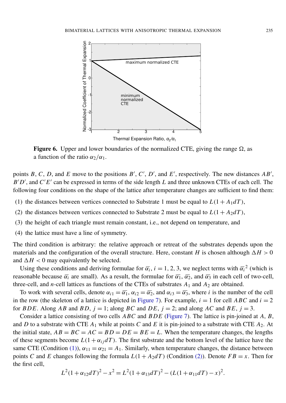<span id="page-9-0"></span>

**Figure 6.** Upper and lower boundaries of the normalized CTE, giving the range  $\Omega$ , as a function of the ratio  $\alpha_2/\alpha_1$ .

points B, C, D, and E move to the positions B', C', D', and E', respectively. The new distances  $AB'$ ,  $B'D'$ , and  $C'E'$  can be expressed in terms of the side length *L* and three unknown CTEs of each cell. The following four conditions on the shape of the lattice after temperature changes are sufficient to find them:

- <span id="page-9-1"></span>(1) the distances between vertices connected to Substrate 1 must be equal to  $L(1 + A_1 dT)$ ,
- <span id="page-9-2"></span>(2) the distances between vertices connected to Substrate 2 must be equal to  $L(1 + A_2dT)$ ,
- <span id="page-9-3"></span>(3) the height of each triangle must remain constant, i.e., not depend on temperature, and
- <span id="page-9-4"></span>(4) the lattice must have a line of symmetry.

The third condition is arbitrary: the relative approach or retreat of the substrates depends upon the materials and the configuration of the overall structure. Here, constant *H* is chosen although  $\Delta H > 0$ and  $\Delta H < 0$  may equivalently be selected.

Using these conditions and deriving formulae for  $\overline{\alpha_i}$ ,  $i = 1, 2, 3$ , we neglect terms with  $\overline{\alpha_i}^2$  (which is reasonable because  $\overline{\alpha_i}$  are small). As a result, the formulae for  $\overline{\alpha_1}$ ,  $\overline{\alpha_2}$ , and  $\overline{\alpha_3}$  in each cell of two-cell, three-cell, and *n*-cell lattices as functions of the CTEs of substrates  $A_1$  and  $A_2$  are obtained.

To work with several cells, denote  $\alpha_{i1} = \overline{\alpha_1}$ ,  $\alpha_{i2} = \overline{\alpha_2}$ , and  $\alpha_{i3} = \overline{\alpha_3}$ , where *i* is the number of the cell in the row (the skeleton of a lattice is depicted in [Figure 7\)](#page-10-0). For example,  $i = 1$  for cell *ABC* and  $i = 2$ for *BDE*. Along *AB* and *BD*,  $j = 1$ ; along *BC* and *DE*,  $j = 2$ ; and along *AC* and *BE*,  $j = 3$ .

Consider a lattice consisting of two cells *ABC* and *B DE* [\(Figure 7\)](#page-10-0). The lattice is pin-joined at *A*, *B*, and *D* to a substrate with CTE *A*<sup>1</sup> while at points *C* and *E* it is pin-joined to a substrate with CTE *A*2. At the initial state,  $AB = BC = AC = BD = DE = BE = L$ . When the temperature changes, the lengths of these segments become  $L(1 + \alpha_{ij}dT)$ . The first substrate and the bottom level of the lattice have the same CTE (Condition [\(1\)\)](#page-9-1),  $\alpha_{11} = \alpha_{21} = A_1$ . Similarly, when temperature changes, the distance between points *C* and *E* changes following the formula  $L(1 + A_2dT)$  (Condition [\(2\)\)](#page-9-2). Denote  $FB = x$ . Then for the first cell,

$$
L^{2}(1+\alpha_{12}dT)^{2} - x^{2} = L^{2}(1+\alpha_{13}dT)^{2} - (L(1+\alpha_{11}dT) - x)^{2}.
$$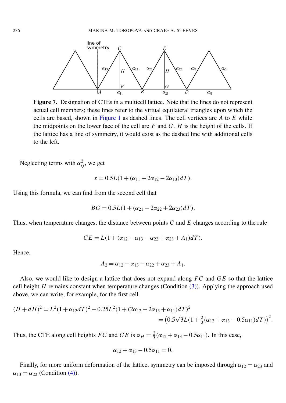<span id="page-10-0"></span>

Figure 7. Designation of CTEs in a multicell lattice. Note that the lines do not represent actual cell members; these lines refer to the virtual equilateral triangles upon which the cells are based, shown in [Figure 1](#page-3-0) as dashed lines. The cell vertices are *A* to *E* while the midpoints on the lower face of the cell are *F* and *G*. *H* is the height of the cells. If the lattice has a line of symmetry, it would exist as the dashed line with additional cells to the left.

Neglecting terms with  $\alpha_{ij}^2$ , we get

$$
x = 0.5L(1 + (\alpha_{11} + 2\alpha_{12} - 2\alpha_{13})dT).
$$

Using this formula, we can find from the second cell that

$$
BG = 0.5L(1 + (\alpha_{21} - 2\alpha_{22} + 2\alpha_{23})dT).
$$

Thus, when temperature changes, the distance between points *C* and *E* changes according to the rule

$$
CE = L(1 + (\alpha_{12} - \alpha_{13} - \alpha_{22} + \alpha_{23} + A_1)dT).
$$

Hence,

$$
A_2 = \alpha_{12} - \alpha_{13} - \alpha_{22} + \alpha_{23} + A_1.
$$

Also, we would like to design a lattice that does not expand along *FC* and *G E* so that the lattice cell height *H* remains constant when temperature changes (Condition [\(3\)\)](#page-9-3). Applying the approach used above, we can write, for example, for the first cell

$$
(H+dH)^{2} = L^{2}(1+\alpha_{12}dT)^{2} - 0.25L^{2}(1+(2\alpha_{12}-2\alpha_{13}+\alpha_{11})dT)^{2}
$$
  
=  $(0.5\sqrt{3}L(1+\frac{2}{3}(\alpha_{12}+\alpha_{13}-0.5\alpha_{11})dT))^{2}$ .

Thus, the CTE along cell heights *FC* and *GE* is  $\alpha_H = \frac{2}{3}$  $\frac{2}{3}(\alpha_{12} + \alpha_{13} - 0.5\alpha_{11})$ . In this case,

$$
\alpha_{12} + \alpha_{13} - 0.5\alpha_{11} = 0.
$$

Finally, for more uniform deformation of the lattice, symmetry can be imposed through  $\alpha_{12} = \alpha_{23}$  and  $\alpha_{13} = \alpha_{22}$  (Condition [\(4\)\)](#page-9-4).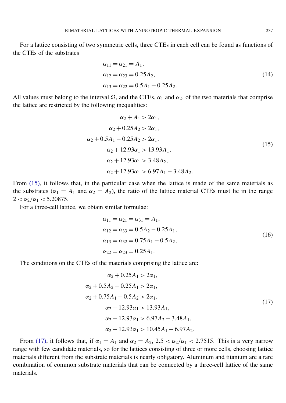For a lattice consisting of two symmetric cells, three CTEs in each cell can be found as functions of the CTEs of the substrates

<span id="page-11-2"></span><span id="page-11-0"></span>
$$
\alpha_{11} = \alpha_{21} = A_1, \n\alpha_{12} = \alpha_{23} = 0.25A_2, \n\alpha_{13} = \alpha_{22} = 0.5A_1 - 0.25A_2.
$$
\n(14)

All values must belong to the interval  $\Omega$ , and the CTEs,  $\alpha_1$  and  $\alpha_2$ , of the two materials that comprise the lattice are restricted by the following inequalities:

$$
\alpha_2 + A_1 > 2\alpha_1,
$$
  
\n
$$
\alpha_2 + 0.25A_2 > 2\alpha_1,
$$
  
\n
$$
\alpha_2 + 0.5A_1 - 0.25A_2 > 2\alpha_1,
$$
  
\n
$$
\alpha_2 + 12.93\alpha_1 > 13.93A_1,
$$
  
\n
$$
\alpha_2 + 12.93\alpha_1 > 3.48A_2,
$$
  
\n
$$
\alpha_2 + 12.93\alpha_1 > 6.97A_1 - 3.48A_2.
$$
  
\n(15)

From [\(15\),](#page-11-0) it follows that, in the particular case when the lattice is made of the same materials as the substrates ( $\alpha_1 = A_1$  and  $\alpha_2 = A_2$ ), the ratio of the lattice material CTEs must lie in the range  $2 < \alpha_2/\alpha_1 < 5.20875$ .

For a three-cell lattice, we obtain similar formulae:

<span id="page-11-3"></span><span id="page-11-1"></span>
$$
\alpha_{11} = \alpha_{21} = \alpha_{31} = A_1,
$$
  
\n
$$
\alpha_{12} = \alpha_{33} = 0.5A_2 - 0.25A_1,
$$
  
\n
$$
\alpha_{13} = \alpha_{32} = 0.75A_1 - 0.5A_2,
$$
  
\n
$$
\alpha_{22} = \alpha_{23} = 0.25A_1.
$$
\n(16)

The conditions on the CTEs of the materials comprising the lattice are:

$$
\alpha_2 + 0.25A_1 > 2\alpha_1,
$$
  
\n
$$
\alpha_2 + 0.5A_2 - 0.25A_1 > 2\alpha_1,
$$
  
\n
$$
\alpha_2 + 0.75A_1 - 0.5A_2 > 2\alpha_1,
$$
  
\n
$$
\alpha_2 + 12.93\alpha_1 > 13.93A_1,
$$
  
\n
$$
\alpha_2 + 12.93\alpha_1 > 6.97A_2 - 3.48A_1,
$$
  
\n
$$
\alpha_2 + 12.93\alpha_1 > 10.45A_1 - 6.97A_2.
$$
  
\n(17)

From [\(17\),](#page-11-1) it follows that, if  $\alpha_1 = A_1$  and  $\alpha_2 = A_2$ ,  $2.5 < \alpha_2/\alpha_1 < 2.7515$ . This is a very narrow range with few candidate materials, so for the lattices consisting of three or more cells, choosing lattice materials different from the substrate materials is nearly obligatory. Aluminum and titanium are a rare combination of common substrate materials that can be connected by a three-cell lattice of the same materials.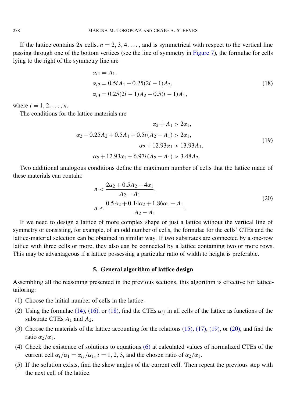If the lattice contains  $2n$  cells,  $n = 2, 3, 4, \ldots$ , and is symmetrical with respect to the vertical line passing through one of the bottom vertices (see the line of symmetry in [Figure 7\)](#page-10-0), the formulae for cells lying to the right of the symmetry line are

<span id="page-12-1"></span><span id="page-12-0"></span>
$$
\alpha_{i1} = A_1,
$$
  
\n
$$
\alpha_{i2} = 0.5i A_1 - 0.25(2i - 1)A_2,
$$
  
\n
$$
\alpha_{i3} = 0.25(2i - 1)A_2 - 0.5(i - 1)A_1,
$$
\n(18)

where  $i = 1, 2, ..., n$ .

The conditions for the lattice materials are

$$
\alpha_2 + A_1 > 2\alpha_1,
$$
  
\n
$$
\alpha_2 - 0.25A_2 + 0.5A_1 + 0.5i(A_2 - A_1) > 2\alpha_1,
$$
  
\n
$$
\alpha_2 + 12.93\alpha_1 > 13.93A_1,
$$
  
\n
$$
\alpha_2 + 12.93\alpha_1 + 6.97i(A_2 - A_1) > 3.48A_2.
$$
  
\n(19)

Two additional analogous conditions define the maximum number of cells that the lattice made of these materials can contain:

<span id="page-12-2"></span>
$$
n < \frac{2\alpha_2 + 0.5A_2 - 4\alpha_1}{A_2 - A_1},
$$
  
\n
$$
n < \frac{0.5A_2 + 0.14\alpha_2 + 1.86\alpha_1 - A_1}{A_2 - A_1}.
$$
 (20)

If we need to design a lattice of more complex shape or just a lattice without the vertical line of symmetry or consisting, for example, of an odd number of cells, the formulae for the cells' CTEs and the lattice-material selection can be obtained in similar way. If two substrates are connected by a one-row lattice with three cells or more, they also can be connected by a lattice containing two or more rows. This may be advantageous if a lattice possessing a particular ratio of width to height is preferable.

#### 5. General algorithm of lattice design

Assembling all the reasoning presented in the previous sections, this algorithm is effective for latticetailoring:

- <span id="page-12-4"></span>(1) Choose the initial number of cells in the lattice.
- (2) Using the formulae [\(14\),](#page-11-2) [\(16\),](#page-11-3) or [\(18\),](#page-12-0) find the CTEs  $\alpha_{ij}$  in all cells of the lattice as functions of the substrate CTEs *A*<sup>1</sup> and *A*2.
- (3) Choose the materials of the lattice accounting for the relations [\(15\),](#page-11-0) [\(17\),](#page-11-1) [\(19\),](#page-12-1) or [\(20\),](#page-12-2) and find the ratio  $\alpha_2/\alpha_1$ .
- <span id="page-12-3"></span>(4) Check the existence of solutions to equations [\(6\)](#page-5-2) at calculated values of normalized CTEs of the current cell  $\overline{\alpha_i}/\alpha_1 = \alpha_{ij}/\alpha_1$ ,  $i = 1, 2, 3$ , and the chosen ratio of  $\alpha_2/\alpha_1$ .
- (5) If the solution exists, find the skew angles of the current cell. Then repeat the previous step with the next cell of the lattice.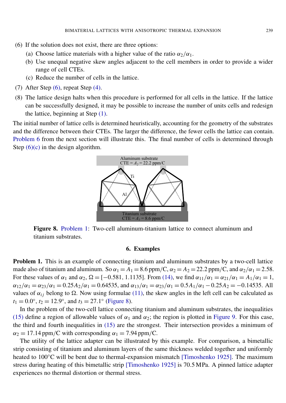- <span id="page-13-1"></span>(6) If the solution does not exist, there are three options:
	- (a) Choose lattice materials with a higher value of the ratio  $\alpha_2/\alpha_1$ .
	- (b) Use unequal negative skew angles adjacent to the cell members in order to provide a wider range of cell CTEs.
	- (c) Reduce the number of cells in the lattice.
- <span id="page-13-2"></span>(7) After Step  $(6)$ , repeat Step  $(4)$ .
- (8) The lattice design halts when this procedure is performed for all cells in the lattice. If the lattice can be successfully designed, it may be possible to increase the number of units cells and redesign the lattice, beginning at Step [\(1\).](#page-12-4)

<span id="page-13-4"></span>The initial number of lattice cells is determined heuristically, accounting for the geometry of the substrates and the difference between their CTEs. The larger the difference, the fewer cells the lattice can contain. [Problem 6](#page-16-0) from the next section will illustrate this. The final number of cells is determined through Step  $(6)(c)$  $(6)(c)$  in the design algorithm.



Figure 8. [Problem 1:](#page-13-3) Two-cell aluminum-titanium lattice to connect aluminum and titanium substrates.

#### 6. Examples

<span id="page-13-3"></span><span id="page-13-0"></span>Problem 1. This is an example of connecting titanium and aluminum substrates by a two-cell lattice made also of titanium and aluminum. So  $\alpha_1 = A_1 = 8.6$  ppm/C,  $\alpha_2 = A_2 = 22.2$  ppm/C, and  $\alpha_2/\alpha_1 = 2.58$ . For these values of  $\alpha_1$  and  $\alpha_2$ ,  $\Omega = [-0.581, 1.1135]$ . From [\(14\),](#page-11-2) we find  $\alpha_{11}/\alpha_1 = \alpha_{21}/\alpha_1 = A_1/\alpha_1 = 1$ ,  $\alpha_{12}/\alpha_1 = \alpha_{23}/\alpha_1 = 0.25A_2/\alpha_1 = 0.64535$ , and  $\alpha_{13}/\alpha_1 = \alpha_{23}/\alpha_1 = 0.5A_1/\alpha_1 - 0.25A_2 = -0.14535$ . All values of  $\alpha_{ij}$  belong to  $\Omega$ . Now using formulae [\(11\),](#page-6-0) the skew angles in the left cell can be calculated as  $t_1 = 0.0^\circ$ ,  $t_2 = 12.9^\circ$ , and  $t_3 = 27.1^\circ$  [\(Figure 8\)](#page-13-4).

In the problem of the two-cell lattice connecting titanium and aluminum substrates, the inequalities [\(15\)](#page-11-0) define a region of allowable values of  $\alpha_1$  and  $\alpha_2$ ; the region is plotted in [Figure 9.](#page-14-0) For this case, the third and fourth inequalities in [\(15\)](#page-11-0) are the strongest. Their intersection provides a minimum of  $\alpha_2 = 17.14$  ppm/C with corresponding  $\alpha_1 = 7.94$  ppm/C.

The utility of the lattice adapter can be illustrated by this example. For comparison, a bimetallic strip consisting of titanium and aluminum layers of the same thickness welded together and uniformly heated to 100<sup>°</sup>C will be bent due to thermal-expansion mismatch [\[Timoshenko 1925\]](#page-18-5). The maximum stress during heating of this bimetallic strip [\[Timoshenko 1925\]](#page-18-5) is 70.5 MPa. A pinned lattice adapter experiences no thermal distortion or thermal stress.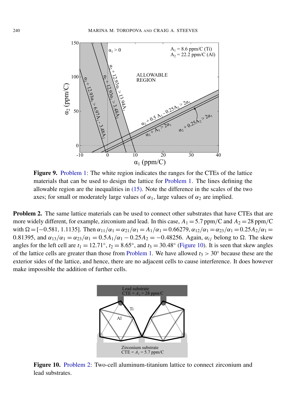<span id="page-14-0"></span>

Figure 9. [Problem 1:](#page-13-3) The white region indicates the ranges for the CTEs of the lattice materials that can be used to design the lattice for [Problem 1.](#page-13-3) The lines defining the allowable region are the inequalities in [\(15\).](#page-11-0) Note the difference in the scales of the two axes; for small or moderately large values of  $\alpha_1$ , large values of  $\alpha_2$  are implied.

<span id="page-14-3"></span><span id="page-14-2"></span><span id="page-14-1"></span>Problem 2. The same lattice materials can be used to connect other substrates that have CTEs that are more widely different, for example, zirconium and lead. In this case,  $A_1 = 5.7$  ppm/C and  $A_2 = 28$  ppm/C with  $\Omega = [-0.581, 1.1135]$ . Then  $\alpha_{11}/\alpha_1 = \alpha_{21}/\alpha_1 = A_1/\alpha_1 = 0.66279$ ,  $\alpha_{12}/\alpha_1 = \alpha_{23}/\alpha_1 = 0.25A_2/\alpha_1 = 0.25A_1/\alpha_1 = 0.25A_2/\alpha_1 = 0.25A_1/\alpha_1 = 0.25A_2/\alpha_1 = 0.25A_1/\alpha_1 = 0.25A_1/\alpha_1 = 0.25A_2/\alpha_1 = 0.25A_1/\alpha_1 = 0.25A_$ 0.81395, and  $\alpha_{13}/\alpha_1 = \alpha_{23}/\alpha_1 = 0.5A_1/\alpha_1 - 0.25A_2 = -0.48256$ . Again,  $\alpha_{ij}$  belong to  $\Omega$ . The skew angles for the left cell are  $t_1 = 12.71^\circ$ ,  $t_2 = 8.65^\circ$ , and  $t_3 = 30.48^\circ$  [\(Figure 10\)](#page-14-1). It is seen that skew angles of the lattice cells are greater than those from [Problem 1.](#page-13-3) We have allowed  $t_3 > 30°$  because these are the exterior sides of the lattice, and hence, there are no adjacent cells to cause interference. It does however make impossible the addition of further cells.



Figure 10. [Problem 2:](#page-14-2) Two-cell aluminum-titanium lattice to connect zirconium and lead substrates.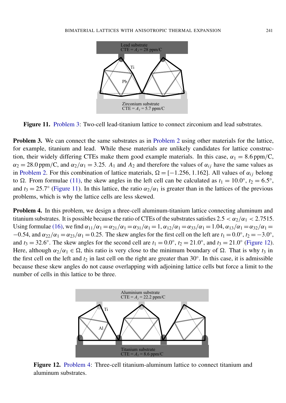<span id="page-15-1"></span>

Figure 11. [Problem 3:](#page-14-3) Two-cell lead-titanium lattice to connect zirconium and lead substrates.

Problem 3. We can connect the same substrates as in [Problem 2](#page-14-2) using other materials for the lattice, for example, titanium and lead. While these materials are unlikely candidates for lattice construction, their widely differing CTEs make them good example materials. In this case,  $\alpha_1 = 8.6$  ppm/C,  $\alpha_2 = 28.0$  ppm/C, and  $\alpha_2/\alpha_1 = 3.25$ .  $A_1$  and  $A_2$  and therefore the values of  $\alpha_{ij}$  have the same values as in [Problem 2.](#page-14-2) For this combination of lattice materials,  $\Omega = [-1.256, 1.162]$ . All values of  $\alpha_{ij}$  belong to  $\Omega$ . From formulae [\(11\),](#page-6-0) the skew angles in the left cell can be calculated as  $t_1 = 10.0^\circ$ ,  $t_2 = 6.5^\circ$ , and  $t_3 = 25.7^\circ$  [\(Figure 11\)](#page-15-1). In this lattice, the ratio  $\alpha_2/\alpha_1$  is greater than in the lattices of the previous problems, which is why the lattice cells are less skewed.

<span id="page-15-3"></span>Problem 4. In this problem, we design a three-cell aluminum-titanium lattice connecting aluminum and titanium substrates. It is possible because the ratio of CTEs of the substrates satisfies  $2.5 < \alpha_2/\alpha_1 < 2.7515$ . Using formulae [\(16\),](#page-11-3) we find  $\alpha_{11}/\alpha_1 = \alpha_{21}/\alpha_1 = \alpha_{31}/\alpha_1 = 1$ ,  $\alpha_{12}/\alpha_1 = \alpha_{33}/\alpha_1 = 1.04$ ,  $\alpha_{13}/\alpha_1 = \alpha_{32}/\alpha_1 =$  $-0.54$ , and  $\alpha_{22}/\alpha_1 = \alpha_{23}/\alpha_1 = 0.25$ . The skew angles for the first cell on the left are  $t_1 = 0.0^\circ$ ,  $t_2 = -3.0^\circ$ , and  $t_3 = 32.6^\circ$ . The skew angles for the second cell are  $t_1 = 0.0^\circ$ ,  $t_2 = 21.0^\circ$ , and  $t_3 = 21.0^\circ$  [\(Figure 12\)](#page-15-2). Here, although  $\alpha_2/\alpha_1 \in \Omega$ , this ratio is very close to the minimum boundary of  $\Omega$ . That is why  $t_3$  in the first cell on the left and  $t_2$  in last cell on the right are greater than  $30^\circ$ . In this case, it is admissible because these skew angles do not cause overlapping with adjoining lattice cells but force a limit to the number of cells in this lattice to be three.

<span id="page-15-2"></span><span id="page-15-0"></span>

Figure 12. [Problem 4:](#page-15-3) Three-cell titanium-aluminum lattice to connect titanium and aluminum substrates.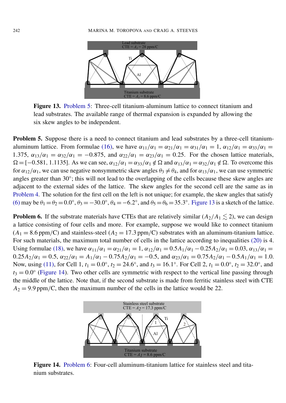

<span id="page-16-1"></span>Figure 13. [Problem 5:](#page-15-0) Three-cell titanium-aluminum lattice to connect titanium and lead substrates. The available range of thermal expansion is expanded by allowing the six skew angles to be independent.

Problem 5. Suppose there is a need to connect titanium and lead substrates by a three-cell titanium-aluminum lattice. From formulae [\(16\),](#page-11-3) we have  $\alpha_{11}/\alpha_1 = \alpha_{21}/\alpha_1 = \alpha_{31}/\alpha_1 = 1$ ,  $\alpha_{12}/\alpha_1 = \alpha_{33}/\alpha_1 =$ 1.375,  $\alpha_{13}/\alpha_1 = \alpha_{32}/\alpha_1 = -0.875$ , and  $\alpha_{22}/\alpha_1 = \alpha_{23}/\alpha_1 = 0.25$ . For the chosen lattice materials,  $\Omega = [-0.581, 1.1135]$ . As we can see,  $\alpha_{12}/\alpha_1 = \alpha_{33}/\alpha_1 \notin \Omega$  and  $\alpha_{13}/\alpha_1 = \alpha_{32}/\alpha_1 \notin \Omega$ . To overcome this for  $\alpha_{12}/\alpha_1$ , we can use negative nonsymmetric skew angles  $\theta_3 \neq \theta_4$ , and for  $\alpha_{13}/\alpha_1$ , we can use symmetric angles greater than 30°; this will not lead to the overlapping of the cells because these skew angles are adjacent to the external sides of the lattice. The skew angles for the second cell are the same as in [Problem 4.](#page-15-3) The solution for the first cell on the left is not unique; for example, the skew angles that satisfy [\(6\)](#page-5-2) may be  $\theta_1 = \theta_2 = 0.0^\circ$ ,  $\theta_3 = -30.0^\circ$ ,  $\theta_4 = -6.2^\circ$ , and  $\theta_5 = \theta_6 = 35.3^\circ$ . [Figure 13](#page-16-1) is a sketch of the lattice.

<span id="page-16-0"></span>**Problem 6.** If the substrate materials have CTEs that are relatively similar  $(A_2/A_1 \leq 2)$ , we can design a lattice consisting of four cells and more. For example, suppose we would like to connect titanium  $(A_1 = 8.6$  ppm/C) and stainless-steel  $(A_2 = 17.3$  ppm/C) substrates with an aluminum-titanium lattice. For such materials, the maximum total number of cells in the lattice according to inequalities [\(20\)](#page-12-2) is 4. Using formulae [\(18\),](#page-12-0) we have  $\alpha_{11}/\alpha_1 = \alpha_{21}/\alpha_1 = 1$ ,  $\alpha_{12}/\alpha_1 = 0.5A_1/\alpha_1 - 0.25A_2/\alpha_1 = 0.03$ ,  $\alpha_{13}/\alpha_1 = 0.03$  $0.25A_2/\alpha_1 = 0.5$ ,  $\alpha_{22}/\alpha_1 = A_1/\alpha_1 - 0.75A_2/\alpha_1 = -0.5$ , and  $\alpha_{23}/\alpha_1 = 0.75A_2/\alpha_1 - 0.5A_1/\alpha_1 = 1.0$ . Now, using [\(11\),](#page-6-0) for Cell 1,  $t_1 = 0.0^\circ$ ,  $t_2 = 24.6^\circ$ , and  $t_3 = 16.1^\circ$ . For Cell 2,  $t_1 = 0.0^\circ$ ,  $t_2 = 32.0^\circ$ , and  $t_3 = 0.0^\circ$  [\(Figure 14\)](#page-16-2). Two other cells are symmetric with respect to the vertical line passing through the middle of the lattice. Note that, if the second substrate is made from ferritic stainless steel with CTE  $A_2 = 9.9$  ppm/C, then the maximum number of the cells in the lattice would be 22.



<span id="page-16-2"></span>Figure 14. [Problem 6:](#page-16-0) Four-cell aluminum-titanium lattice for stainless steel and titanium substrates.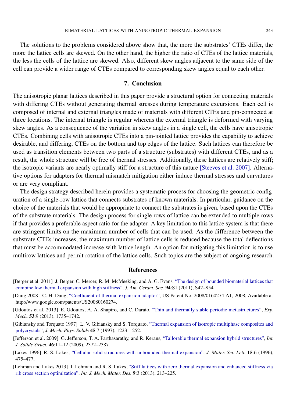The solutions to the problems considered above show that, the more the substrates' CTEs differ, the more the lattice cells are skewed. On the other hand, the higher the ratio of CTEs of the lattice materials, the less the cells of the lattice are skewed. Also, different skew angles adjacent to the same side of the cell can provide a wider range of CTEs compared to corresponding skew angles equal to each other.

#### 7. Conclusion

The anisotropic planar lattices described in this paper provide a structural option for connecting materials with differing CTEs without generating thermal stresses during temperature excursions. Each cell is composed of internal and external triangles made of materials with different CTEs and pin-connected at three locations. The internal triangle is regular whereas the external triangle is deformed with varying skew angles. As a consequence of the variation in skew angles in a single cell, the cells have anisotropic CTEs. Combining cells with anisotropic CTEs into a pin-jointed lattice provides the capability to achieve desirable, and differing, CTEs on the bottom and top edges of the lattice. Such lattices can therefore be used as transition elements between two parts of a structure (substrates) with different CTEs, and as a result, the whole structure will be free of thermal stresses. Additionally, these lattices are relatively stiff; the isotropic variants are nearly optimally stiff for a structure of this nature [\[Steeves et al. 2007\]](#page-18-4). Alternative options for adapters for thermal mismatch mitigation either induce thermal stresses and curvatures or are very compliant.

The design strategy described herein provides a systematic process for choosing the geometric configuration of a single-row lattice that connects substrates of known materials. In particular, guidance on the choice of the materials that would be appropriate to connect the substrates is given, based upon the CTEs of the substrate materials. The design process for single rows of lattice can be extended to multiple rows if that provides a preferable aspect ratio for the adapter. A key limitation to this lattice system is that there are stringent limits on the maximum number of cells that can be used. As the difference between the substrate CTEs increases, the maximum number of lattice cells is reduced because the total deflections that must be accommodated increase with lattice length. An option for mitigating this limitation is to use multirow lattices and permit rotation of the lattice cells. Such topics are the subject of ongoing research.

#### References

- <span id="page-17-5"></span>[Berger et al. 2011] J. Berger, C. Mercer, R. M. McMeeking, and A. G. Evans, ["The design of bounded biomaterial lattices that](http://dx.doi.org/10.1111/j.1551-2916.2011.04503.x) [combine low thermal expansion with high stiffness",](http://dx.doi.org/10.1111/j.1551-2916.2011.04503.x) *J. Am. Ceram. Soc.* 94:S1 (2011), S42–S54.
- <span id="page-17-0"></span>[Dang 2008] C. H. Dang, ["Coefficient of thermal expansion adaptor",](http://www.google.com/patents/US20080160274) US Patent No. 2008/0160274 A1, 2008, Available at http://www.google.com/patents/US20080160274.
- <span id="page-17-6"></span>[Gdoutos et al. 2013] E. Gdoutos, A. A. Shapiro, and C. Daraio, ["Thin and thermally stable periodic metastructures",](http://dx.doi.org/10.1007/s11340-013-9748-z) *Exp. Mech.* 53:9 (2013), 1735–1742.
- <span id="page-17-2"></span>[Gibiansky and Torquato 1997] L. V. Gibiansky and S. Torquato, ["Thermal expansion of isotropic multiphase composites and](http://dx.doi.org/10.1016/S0022-5096(96)00129-9) [polycrystals",](http://dx.doi.org/10.1016/S0022-5096(96)00129-9) *J. Mech. Phys. Solids* 45:7 (1997), 1223–1252.
- <span id="page-17-3"></span>[Jefferson et al. 2009] G. Jefferson, T. A. Parthasarathy, and R. Kerans, ["Tailorable thermal expansion hybrid structures",](http://dx.doi.org/10.1016/j.ijsolstr.2009.01.023) *Int. J. Solids Struct.* 46:11–12 (2009), 2372–2387.
- <span id="page-17-1"></span>[Lakes 1996] R. S. Lakes, ["Cellular solid structures with unbounded thermal expansion",](http://link.springer.com/article/10.1007%2FBF00275406) *J. Mater. Sci. Lett.* 15:6 (1996), 475–477.
- <span id="page-17-4"></span>[Lehman and Lakes 2013] J. Lehman and R. S. Lakes, ["Stiff lattices with zero thermal expansion and enhanced stiffness via](http://dx.doi.org/10.1007/s10999-012-9210-x) [rib cross section optimization",](http://dx.doi.org/10.1007/s10999-012-9210-x) *Int. J. Mech. Mater. Des.* 9:3 (2013), 213–225.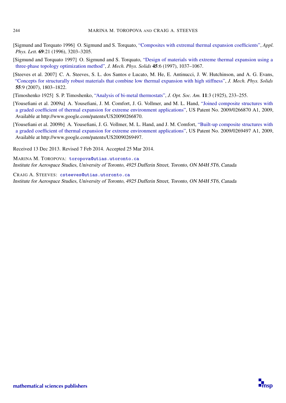- <span id="page-18-2"></span>[Sigmund and Torquato 1996] O. Sigmund and S. Torquato, ["Composites with extremal thermal expansion coefficients",](http://dx.doi.org/10.1063/1.117961) *Appl. Phys. Lett.* 69:21 (1996), 3203–3205.
- <span id="page-18-3"></span>[Sigmund and Torquato 1997] O. Sigmund and S. Torquato, ["Design of materials with extreme thermal expansion using a](http://dx.doi.org/10.1016/S0022-5096(96)00114-7) [three-phase topology optimization method",](http://dx.doi.org/10.1016/S0022-5096(96)00114-7) *J. Mech. Phys. Solids* 45:6 (1997), 1037–1067.
- <span id="page-18-4"></span>[Steeves et al. 2007] C. A. Steeves, S. L. dos Santos e Lucato, M. He, E. Antinucci, J. W. Hutchinson, and A. G. Evans, ["Concepts for structurally robust materials that combine low thermal expansion with high stiffness",](http://dx.doi.org/10.1016/j.jmps.2007.02.009) *J. Mech. Phys. Solids* 55:9 (2007), 1803–1822.
- <span id="page-18-5"></span>[Timoshenko 1925] S. P. Timoshenko, ["Analysis of bi-metal thermostats",](http://dx.doi.org/10.1364/JOSA.11.000233) *J. Opt. Soc. Am.* 11:3 (1925), 233–255.
- <span id="page-18-0"></span>[Yousefiani et al. 2009a] A. Yousefiani, J. M. Comfort, J. G. Vollmer, and M. L. Hand, ["Joined composite structures with](http://www.google.com/patents/US20090266870) [a graded coefficient of thermal expansion for extreme environment applications",](http://www.google.com/patents/US20090266870) US Patent No. 2009/0266870 A1, 2009, Available at http://www.google.com/patents/US20090266870.
- <span id="page-18-1"></span>[Yousefiani et al. 2009b] A. Yousefiani, J. G. Vollmer, M. L. Hand, and J. M. Comfort, ["Built-up composite structures with](http://www.google.com/patents/US20090269497) [a graded coefficient of thermal expansion for extreme environment applications",](http://www.google.com/patents/US20090269497) US Patent No. 2009/0269497 A1, 2009, Available at http://www.google.com/patents/US20090269497.
- Received 13 Dec 2013. Revised 7 Feb 2014. Accepted 25 Mar 2014.

MARINA M. TOROPOVA: [toropova@utias.utoronto.ca](mailto:toropova@utias.utoronto.ca) Institute for Aerospace Studies, University of Toronto, 4925 Dufferin Street, Toronto, ON M4H 5T6, Canada

CRAIG A. STEEVES: [csteeves@utias.utoronto.ca](mailto:csteeves@utias.utoronto.ca) Institute for Aerospace Studies, University of Toronto, 4925 Dufferin Street, Toronto, ON M4H 5T6, Canada

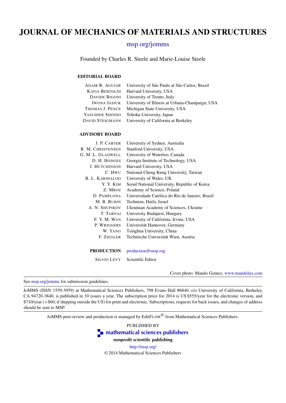### JOURNAL OF MECHANICS OF MATERIALS AND STRUCTURES

#### [msp.org/jomms](http://msp.org/jomms/)

Founded by Charles R. Steele and Marie-Louise Steele

#### EDITORIAL BOARD

| ADAIR R. AGUIAR        | University of São Paulo at São Carlos, Brazil   |
|------------------------|-------------------------------------------------|
| <b>KATIA BERTOLDI</b>  | Harvard University, USA                         |
| DAVIDE BIGONI          | University of Trento, Italy                     |
| <b>IWONA JASIUK</b>    | University of Illinois at Urbana-Champaign, USA |
| THOMAS J. PENCE        | Michigan State University, USA                  |
| YASUHIDE SHINDO        | Tohoku University, Japan                        |
| <b>DAVID STEIGMANN</b> | University of California at Berkeley            |
|                        |                                                 |

#### ADVISORY BOARD

| J. P. CARTER      | University of Sydney, Australia                 |
|-------------------|-------------------------------------------------|
| R. M. CHRISTENSEN | Stanford University, USA                        |
| G. M. L. GLADWELL | University of Waterloo, Canada                  |
| D. H. HODGES      | Georgia Institute of Technology, USA            |
| J. HUTCHINSON     | Harvard University, USA                         |
| C. Hwu            | National Cheng Kung University, Taiwan          |
| B. L. KARIHALOO   | University of Wales, UK                         |
| Y. Y. KIM         | Seoul National University, Republic of Korea    |
| Z. Mroz           | Academy of Science, Poland                      |
| D. PAMPLONA       | Universidade Católica do Rio de Janeiro, Brazil |
| M. B. RUBIN       | Technion, Haifa, Israel                         |
| A. N. SHUPIKOV    | Ukrainian Academy of Sciences, Ukraine          |
| T. TARNAI         | University Budapest, Hungary                    |
| F.Y.M.WAN         | University of California, Irvine, USA           |
| P. WRIGGERS       | Universität Hannover, Germany                   |
| W. YANG           | Tsinghua University, China                      |
| F. ZIEGLER        | Technische Universität Wien, Austria            |
|                   |                                                 |
|                   |                                                 |

PRODUCTION [production@msp.org](mailto:production@msp.org)

SILVIO LEVY Scientific Editor

Cover photo: Mando Gomez, [www.mandolux.com](http://www.mandolux.com)

See [msp.org/jomms](http://msp.org/jomms/) for submission guidelines.

JoMMS (ISSN 1559-3959) at Mathematical Sciences Publishers, 798 Evans Hall #6840, c/o University of California, Berkeley, CA 94720-3840, is published in 10 issues a year. The subscription price for 2014 is US \$555/year for the electronic version, and \$710/year (+\$60, if shipping outside the US) for print and electronic. Subscriptions, requests for back issues, and changes of address should be sent to MSP.

JoMMS peer-review and production is managed by EditFLOW® from Mathematical Sciences Publishers.

PUBLISHED BY **n** [mathematical sciences publishers](http://msp.org/) nonprofit scientific publishing <http://msp.org/>

© 2014 Mathematical Sciences Publishers